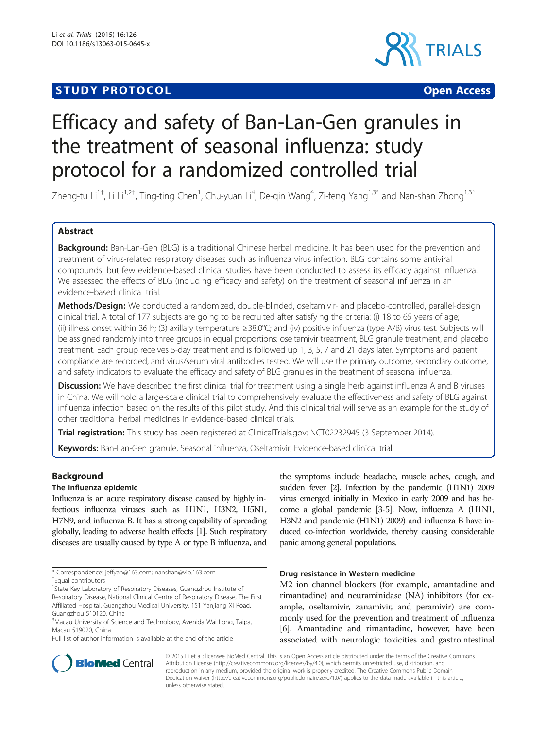# **STUDY PROTOCOL CONSUMING THE CONSUMING OPEN ACCESS**



# Efficacy and safety of Ban-Lan-Gen granules in the treatment of seasonal influenza: study protocol for a randomized controlled trial

Zheng-tu Li<sup>1†</sup>, Li Li<sup>1,2†</sup>, Ting-ting Chen<sup>1</sup>, Chu-yuan Li<sup>4</sup>, De-qin Wang<sup>4</sup>, Zi-feng Yang<sup>1,3\*</sup> and Nan-shan Zhong<sup>1,3\*</sup>

# Abstract

Background: Ban-Lan-Gen (BLG) is a traditional Chinese herbal medicine. It has been used for the prevention and treatment of virus-related respiratory diseases such as influenza virus infection. BLG contains some antiviral compounds, but few evidence-based clinical studies have been conducted to assess its efficacy against influenza. We assessed the effects of BLG (including efficacy and safety) on the treatment of seasonal influenza in an evidence-based clinical trial.

Methods/Design: We conducted a randomized, double-blinded, oseltamivir- and placebo-controlled, parallel-design clinical trial. A total of 177 subjects are going to be recruited after satisfying the criteria: (i) 18 to 65 years of age; (ii) illness onset within 36 h; (3) axillary temperature ≥38.0°C; and (iv) positive influenza (type A/B) virus test. Subjects will be assigned randomly into three groups in equal proportions: oseltamivir treatment, BLG granule treatment, and placebo treatment. Each group receives 5-day treatment and is followed up 1, 3, 5, 7 and 21 days later. Symptoms and patient compliance are recorded, and virus/serum viral antibodies tested. We will use the primary outcome, secondary outcome, and safety indicators to evaluate the efficacy and safety of BLG granules in the treatment of seasonal influenza.

Discussion: We have described the first clinical trial for treatment using a single herb against influenza A and B viruses in China. We will hold a large-scale clinical trial to comprehensively evaluate the effectiveness and safety of BLG against influenza infection based on the results of this pilot study. And this clinical trial will serve as an example for the study of other traditional herbal medicines in evidence-based clinical trials.

Trial registration: This study has been registered at ClinicalTrials.gov: [NCT02232945](https://clinicaltrials.gov/ct2/results?term=NCT02232945&Search=Search) (3 September 2014).

Keywords: Ban-Lan-Gen granule, Seasonal influenza, Oseltamivir, Evidence-based clinical trial

# Background

# The influenza epidemic

Influenza is an acute respiratory disease caused by highly infectious influenza viruses such as H1N1, H3N2, H5N1, H7N9, and influenza B. It has a strong capability of spreading globally, leading to adverse health effects [\[1\]](#page-8-0). Such respiratory diseases are usually caused by type A or type B influenza, and

Full list of author information is available at the end of the article

the symptoms include headache, muscle aches, cough, and sudden fever [\[2\]](#page-8-0). Infection by the pandemic (H1N1) 2009 virus emerged initially in Mexico in early 2009 and has become a global pandemic [\[3-5](#page-8-0)]. Now, influenza A (H1N1, H3N2 and pandemic (H1N1) 2009) and influenza B have induced co-infection worldwide, thereby causing considerable panic among general populations.

# Drug resistance in Western medicine

M2 ion channel blockers (for example, amantadine and rimantadine) and neuraminidase (NA) inhibitors (for example, oseltamivir, zanamivir, and peramivir) are commonly used for the prevention and treatment of influenza [[6\]](#page-8-0). Amantadine and rimantadine, however, have been associated with neurologic toxicities and gastrointestinal



© 2015 Li et al.; licensee BioMed Central. This is an Open Access article distributed under the terms of the Creative Commons Attribution License (<http://creativecommons.org/licenses/by/4.0>), which permits unrestricted use, distribution, and reproduction in any medium, provided the original work is properly credited. The Creative Commons Public Domain Dedication waiver [\(http://creativecommons.org/publicdomain/zero/1.0/](http://creativecommons.org/publicdomain/zero/1.0/)) applies to the data made available in this article, unless otherwise stated.

<sup>\*</sup> Correspondence: [jeffyah@163.com](mailto:jeffyah@163.com); [nanshan@vip.163.com](mailto:nanshan@vip.163.com) †

Equal contributors

<sup>&</sup>lt;sup>1</sup>State Key Laboratory of Respiratory Diseases, Guangzhou Institute of Respiratory Disease, National Clinical Centre of Respiratory Disease, The First Affiliated Hospital, Guangzhou Medical University, 151 Yanjiang Xi Road, Guangzhou 510120, China

<sup>&</sup>lt;sup>3</sup>Macau University of Science and Technology, Avenida Wai Long, Taipa, Macau 519020, China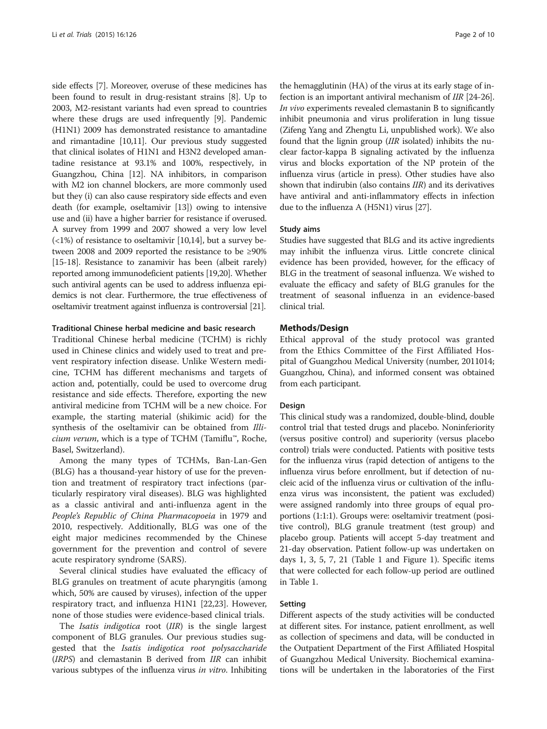side effects [\[7](#page-8-0)]. Moreover, overuse of these medicines has been found to result in drug-resistant strains [[8\]](#page-8-0). Up to 2003, M2-resistant variants had even spread to countries where these drugs are used infrequently [\[9\]](#page-8-0). Pandemic (H1N1) 2009 has demonstrated resistance to amantadine and rimantadine [\[10,11](#page-8-0)]. Our previous study suggested that clinical isolates of H1N1 and H3N2 developed amantadine resistance at 93.1% and 100%, respectively, in Guangzhou, China [\[12](#page-8-0)]. NA inhibitors, in comparison with M2 ion channel blockers, are more commonly used but they (i) can also cause respiratory side effects and even death (for example, oseltamivir [\[13](#page-8-0)]) owing to intensive use and (ii) have a higher barrier for resistance if overused. A survey from 1999 and 2007 showed a very low level  $\left($ <1%) of resistance to oseltamivir [\[10,14](#page-8-0)], but a survey between 2008 and 2009 reported the resistance to be ≥90% [[15](#page-8-0)-[18\]](#page-8-0). Resistance to zanamivir has been (albeit rarely) reported among immunodeficient patients [\[19,20](#page-8-0)]. Whether such antiviral agents can be used to address influenza epidemics is not clear. Furthermore, the true effectiveness of oseltamivir treatment against influenza is controversial [\[21](#page-8-0)].

#### Traditional Chinese herbal medicine and basic research

Traditional Chinese herbal medicine (TCHM) is richly used in Chinese clinics and widely used to treat and prevent respiratory infection disease. Unlike Western medicine, TCHM has different mechanisms and targets of action and, potentially, could be used to overcome drug resistance and side effects. Therefore, exporting the new antiviral medicine from TCHM will be a new choice. For example, the starting material (shikimic acid) for the synthesis of the oseltamivir can be obtained from Illicium verum, which is a type of TCHM (Tamiflu™, Roche, Basel, Switzerland).

Among the many types of TCHMs, Ban-Lan-Gen (BLG) has a thousand-year history of use for the prevention and treatment of respiratory tract infections (particularly respiratory viral diseases). BLG was highlighted as a classic antiviral and anti-influenza agent in the People's Republic of China Pharmacopoeia in 1979 and 2010, respectively. Additionally, BLG was one of the eight major medicines recommended by the Chinese government for the prevention and control of severe acute respiratory syndrome (SARS).

Several clinical studies have evaluated the efficacy of BLG granules on treatment of acute pharyngitis (among which, 50% are caused by viruses), infection of the upper respiratory tract, and influenza H1N1 [[22](#page-8-0),[23](#page-8-0)]. However, none of those studies were evidence-based clinical trials.

The *Isatis indigotica* root (IIR) is the single largest component of BLG granules. Our previous studies suggested that the Isatis indigotica root polysaccharide (IRPS) and clemastanin B derived from IIR can inhibit various subtypes of the influenza virus in vitro. Inhibiting

the hemagglutinin (HA) of the virus at its early stage of infection is an important antiviral mechanism of IIR [[24](#page-8-0)-[26](#page-8-0)]. In vivo experiments revealed clemastanin B to significantly inhibit pneumonia and virus proliferation in lung tissue (Zifeng Yang and Zhengtu Li, unpublished work). We also found that the lignin group (IIR isolated) inhibits the nuclear factor-kappa B signaling activated by the influenza virus and blocks exportation of the NP protein of the influenza virus (article in press). Other studies have also shown that indirubin (also contains IIR) and its derivatives have antiviral and anti-inflammatory effects in infection due to the influenza A (H5N1) virus [\[27\]](#page-8-0).

#### Study aims

Studies have suggested that BLG and its active ingredients may inhibit the influenza virus. Little concrete clinical evidence has been provided, however, for the efficacy of BLG in the treatment of seasonal influenza. We wished to evaluate the efficacy and safety of BLG granules for the treatment of seasonal influenza in an evidence-based clinical trial.

#### Methods/Design

Ethical approval of the study protocol was granted from the Ethics Committee of the First Affiliated Hospital of Guangzhou Medical University (number, 2011014; Guangzhou, China), and informed consent was obtained from each participant.

#### Design

This clinical study was a randomized, double-blind, double control trial that tested drugs and placebo. Noninferiority (versus positive control) and superiority (versus placebo control) trials were conducted. Patients with positive tests for the influenza virus (rapid detection of antigens to the influenza virus before enrollment, but if detection of nucleic acid of the influenza virus or cultivation of the influenza virus was inconsistent, the patient was excluded) were assigned randomly into three groups of equal proportions (1:1:1). Groups were: oseltamivir treatment (positive control), BLG granule treatment (test group) and placebo group. Patients will accept 5-day treatment and 21-day observation. Patient follow-up was undertaken on days 1, 3, 5, 7, 21 (Table [1](#page-2-0) and Figure [1](#page-3-0)). Specific items that were collected for each follow-up period are outlined in Table [1](#page-2-0).

#### Setting

Different aspects of the study activities will be conducted at different sites. For instance, patient enrollment, as well as collection of specimens and data, will be conducted in the Outpatient Department of the First Affiliated Hospital of Guangzhou Medical University. Biochemical examinations will be undertaken in the laboratories of the First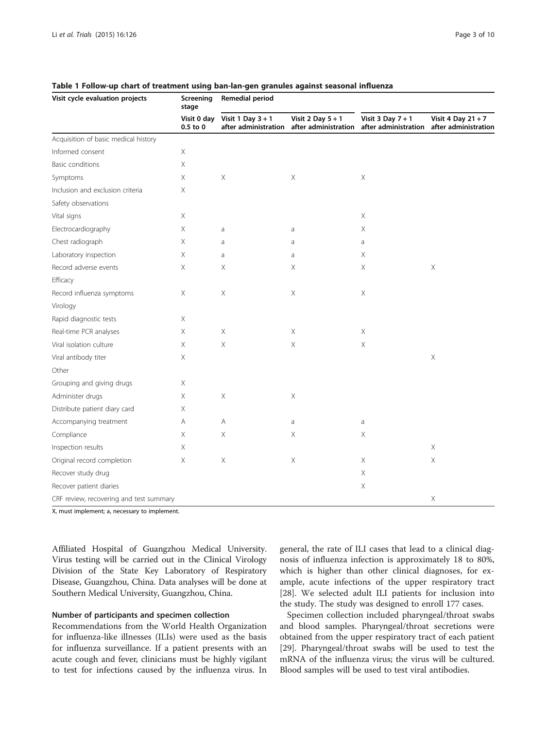| Visit cycle evaluation projects         | Screening<br>stage<br>Visit 0 day<br>$0.5$ to $0$ | Remedial period                             |                                             |                                               |                                              |
|-----------------------------------------|---------------------------------------------------|---------------------------------------------|---------------------------------------------|-----------------------------------------------|----------------------------------------------|
|                                         |                                                   | Visit 1 Day $3 + 1$<br>after administration | Visit 2 Day $5 + 1$<br>after administration | Visit $3$ Day $7 + 1$<br>after administration | Visit 4 Day $21 + 7$<br>after administration |
| Acquisition of basic medical history    |                                                   |                                             |                                             |                                               |                                              |
| Informed consent                        | $\mathsf X$                                       |                                             |                                             |                                               |                                              |
| Basic conditions                        | X                                                 |                                             |                                             |                                               |                                              |
| Symptoms                                | $\mathsf X$                                       | $\mathsf X$                                 | $\mathsf X$                                 | Χ                                             |                                              |
| Inclusion and exclusion criteria        | $\mathsf X$                                       |                                             |                                             |                                               |                                              |
| Safety observations                     |                                                   |                                             |                                             |                                               |                                              |
| Vital signs                             | $\mathsf X$                                       |                                             |                                             | $\mathsf X$                                   |                                              |
| Electrocardiography                     | Χ                                                 | a                                           | a                                           | Χ                                             |                                              |
| Chest radiograph                        | $\mathsf X$                                       | a                                           | a                                           | a                                             |                                              |
| Laboratory inspection                   | $\mathsf X$                                       | a                                           | a                                           | Χ                                             |                                              |
| Record adverse events                   | $\mathsf X$                                       | Χ                                           | Χ                                           | Χ                                             | $\mathsf X$                                  |
| Efficacy                                |                                                   |                                             |                                             |                                               |                                              |
| Record influenza symptoms               | $\mathsf X$                                       | Χ                                           | $\boldsymbol{\times}$                       | Χ                                             |                                              |
| Virology                                |                                                   |                                             |                                             |                                               |                                              |
| Rapid diagnostic tests                  | $\mathsf X$                                       |                                             |                                             |                                               |                                              |
| Real-time PCR analyses                  | $\mathsf X$                                       | Χ                                           | $\boldsymbol{\times}$                       | X                                             |                                              |
| Viral isolation culture                 | $\mathsf X$                                       | $\mathsf X$                                 | $\mathsf X$                                 | Χ                                             |                                              |
| Viral antibody titer                    | $\mathsf X$                                       |                                             |                                             |                                               | $\mathsf X$                                  |
| Other                                   |                                                   |                                             |                                             |                                               |                                              |
| Grouping and giving drugs               | $\mathsf X$                                       |                                             |                                             |                                               |                                              |
| Administer drugs                        | $\mathsf X$                                       | $\mathsf X$                                 | Χ                                           |                                               |                                              |
| Distribute patient diary card           | Χ                                                 |                                             |                                             |                                               |                                              |
| Accompanying treatment                  | Α                                                 | Α                                           | a                                           | a                                             |                                              |
| Compliance                              | Χ                                                 | $\mathsf X$                                 | Х                                           | Χ                                             |                                              |
| Inspection results                      | $\mathsf X$                                       |                                             |                                             |                                               | $\mathsf X$                                  |
| Original record completion              | $\mathsf X$                                       | Χ                                           | $\boldsymbol{\times}$                       | Χ                                             | $\mathsf X$                                  |
| Recover study drug                      |                                                   |                                             |                                             | Χ                                             |                                              |
| Recover patient diaries                 |                                                   |                                             |                                             | $\mathsf X$                                   |                                              |
| CRF review, recovering and test summary |                                                   |                                             |                                             |                                               | Χ                                            |

<span id="page-2-0"></span>Table 1 Follow-up chart of treatment using ban-lan-gen granules against seasonal influenza

X, must implement; a, necessary to implement.

Affiliated Hospital of Guangzhou Medical University. Virus testing will be carried out in the Clinical Virology Division of the State Key Laboratory of Respiratory Disease, Guangzhou, China. Data analyses will be done at Southern Medical University, Guangzhou, China.

# Number of participants and specimen collection

Recommendations from the World Health Organization for influenza-like illnesses (ILIs) were used as the basis for influenza surveillance. If a patient presents with an acute cough and fever, clinicians must be highly vigilant to test for infections caused by the influenza virus. In

general, the rate of ILI cases that lead to a clinical diagnosis of influenza infection is approximately 18 to 80%, which is higher than other clinical diagnoses, for example, acute infections of the upper respiratory tract [[28\]](#page-8-0). We selected adult ILI patients for inclusion into the study. The study was designed to enroll 177 cases.

Specimen collection included pharyngeal/throat swabs and blood samples. Pharyngeal/throat secretions were obtained from the upper respiratory tract of each patient [[29\]](#page-8-0). Pharyngeal/throat swabs will be used to test the mRNA of the influenza virus; the virus will be cultured. Blood samples will be used to test viral antibodies.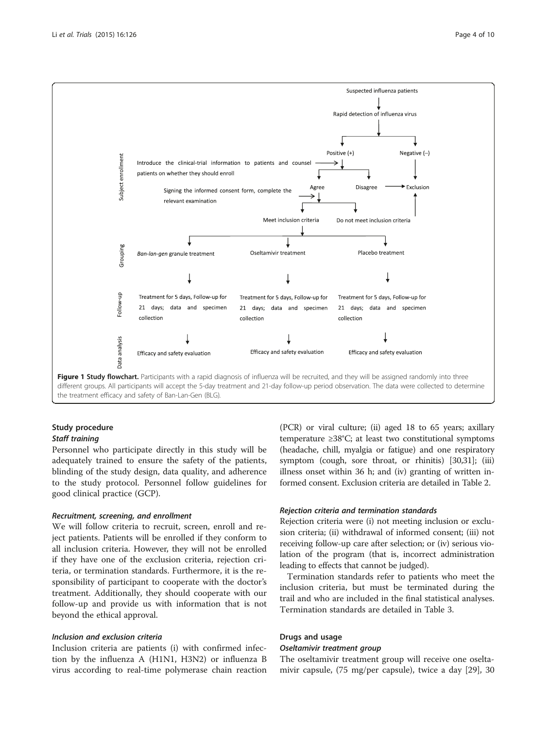<span id="page-3-0"></span>

the treatment efficacy and safety of Ban-Lan-Gen (BLG).

# Study procedure Staff training

Personnel who participate directly in this study will be adequately trained to ensure the safety of the patients, blinding of the study design, data quality, and adherence to the study protocol. Personnel follow guidelines for good clinical practice (GCP).

# Recruitment, screening, and enrollment

We will follow criteria to recruit, screen, enroll and reject patients. Patients will be enrolled if they conform to all inclusion criteria. However, they will not be enrolled if they have one of the exclusion criteria, rejection criteria, or termination standards. Furthermore, it is the responsibility of participant to cooperate with the doctor's treatment. Additionally, they should cooperate with our follow-up and provide us with information that is not beyond the ethical approval.

# Inclusion and exclusion criteria

Inclusion criteria are patients (i) with confirmed infection by the influenza A (H1N1, H3N2) or influenza B virus according to real-time polymerase chain reaction (PCR) or viral culture; (ii) aged 18 to 65 years; axillary temperature ≥38°C; at least two constitutional symptoms (headache, chill, myalgia or fatigue) and one respiratory symptom (cough, sore throat, or rhinitis) [[30](#page-8-0)[,31\]](#page-9-0); (iii) illness onset within 36 h; and (iv) granting of written informed consent. Exclusion criteria are detailed in Table [2](#page-4-0).

# Rejection criteria and termination standards

Rejection criteria were (i) not meeting inclusion or exclusion criteria; (ii) withdrawal of informed consent; (iii) not receiving follow-up care after selection; or (iv) serious violation of the program (that is, incorrect administration leading to effects that cannot be judged).

Termination standards refer to patients who meet the inclusion criteria, but must be terminated during the trail and who are included in the final statistical analyses. Termination standards are detailed in Table [3](#page-4-0).

# Drugs and usage

# Oseltamivir treatment group

The oseltamivir treatment group will receive one oseltamivir capsule, (75 mg/per capsule), twice a day [[29\]](#page-8-0), 30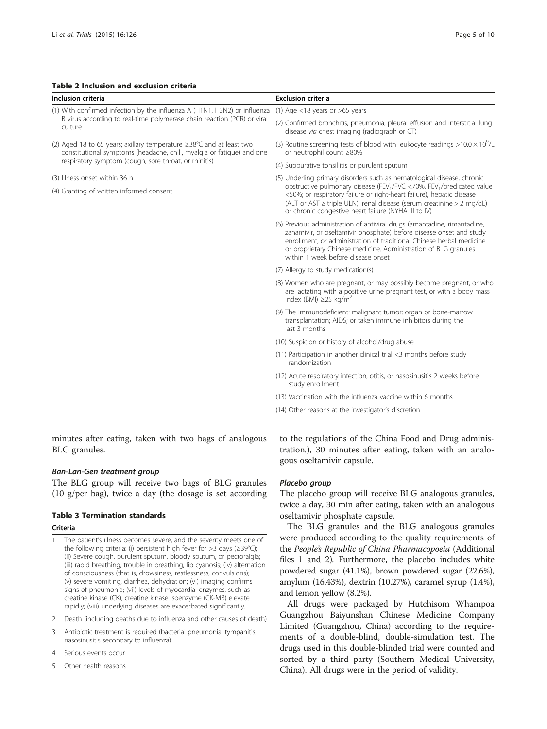culture

#### <span id="page-4-0"></span>Table 2 Inclusion and exclusion criteria

constitutional symptoms (headache, chill, myalgia or fatigue) and one

(3) Routine screening tests of blood with leukocyte readings  $>10.0 \times 10^9$ /L or neutrophil count ≥80%

| respiratory symptom (cough, sore throat, or rhinitis) | (4) Suppurative tonsillitis or purulent sputum                                                                                                                                                                                                                                                                                   |  |  |
|-------------------------------------------------------|----------------------------------------------------------------------------------------------------------------------------------------------------------------------------------------------------------------------------------------------------------------------------------------------------------------------------------|--|--|
| (3) Illness onset within 36 h                         | (5) Underling primary disorders such as hematological disease, chronic<br>obstructive pulmonary disease (FEV <sub>1</sub> /FVC <70%, FEV <sub>1</sub> /predicated value                                                                                                                                                          |  |  |
| (4) Granting of written informed consent              | <50%; or respiratory failure or right-heart failure), hepatic disease<br>(ALT or AST ≥ triple ULN), renal disease (serum creatinine > 2 mg/dL)<br>or chronic congestive heart failure (NYHA III to IV)                                                                                                                           |  |  |
|                                                       | (6) Previous administration of antiviral drugs (amantadine, rimantadine,<br>zanamivir, or oseltamivir phosphate) before disease onset and study<br>enrollment, or administration of traditional Chinese herbal medicine<br>or proprietary Chinese medicine. Administration of BLG granules<br>within 1 week before disease onset |  |  |
|                                                       | (7) Allergy to study medication(s)                                                                                                                                                                                                                                                                                               |  |  |
|                                                       | (8) Women who are pregnant, or may possibly become pregnant, or who<br>are lactating with a positive urine pregnant test, or with a body mass<br>index (BMI) $\geq$ 25 kg/m <sup>2</sup>                                                                                                                                         |  |  |
|                                                       | (9) The immunodeficient: malignant tumor; organ or bone-marrow<br>transplantation; AIDS; or taken immune inhibitors during the<br>last 3 months                                                                                                                                                                                  |  |  |
|                                                       | (10) Suspicion or history of alcohol/drug abuse                                                                                                                                                                                                                                                                                  |  |  |
|                                                       | (11) Participation in another clinical trial <3 months before study<br>randomization                                                                                                                                                                                                                                             |  |  |
|                                                       | (12) Acute respiratory infection, otitis, or nasosinusitis 2 weeks before<br>study enrollment                                                                                                                                                                                                                                    |  |  |
|                                                       | (13) Vaccination with the influenza vaccine within 6 months                                                                                                                                                                                                                                                                      |  |  |
|                                                       | (14) Other reasons at the investigator's discretion                                                                                                                                                                                                                                                                              |  |  |

minutes after eating, taken with two bags of analogous BLG granules.

# Ban-Lan-Gen treatment group

The BLG group will receive two bags of BLG granules (10 g/per bag), twice a day (the dosage is set according

# Table 3 Termination standards

# Criteria

- The patient's illness becomes severe, and the severity meets one of the following criteria: (i) persistent high fever for >3 days (≥39°C); (ii) Severe cough, purulent sputum, bloody sputum, or pectoralgia; (iii) rapid breathing, trouble in breathing, lip cyanosis; (iv) alternation of consciousness (that is, drowsiness, restlessness, convulsions); (v) severe vomiting, diarrhea, dehydration; (vi) imaging confirms signs of pneumonia; (vii) levels of myocardial enzymes, such as creatine kinase (CK), creatine kinase isoenzyme (CK-MB) elevate rapidly; (viii) underlying diseases are exacerbated significantly.
- 2 Death (including deaths due to influenza and other causes of death)
- 3 Antibiotic treatment is required (bacterial pneumonia, tympanitis, nasosinusitis secondary to influenza)
- 4 Serious events occur
- 5 Other health reasons

to the regulations of the China Food and Drug administration.), 30 minutes after eating, taken with an analogous oseltamivir capsule.

#### Placebo group

The placebo group will receive BLG analogous granules, twice a day, 30 min after eating, taken with an analogous oseltamivir phosphate capsule.

The BLG granules and the BLG analogous granules were produced according to the quality requirements of the People's Republic of China Pharmacopoeia (Additional files [1](#page-7-0) and [2\)](#page-8-0). Furthermore, the placebo includes white powdered sugar (41.1%), brown powdered sugar (22.6%), amylum (16.43%), dextrin (10.27%), caramel syrup (1.4%), and lemon yellow (8.2%).

All drugs were packaged by Hutchisom Whampoa Guangzhou Baiyunshan Chinese Medicine Company Limited (Guangzhou, China) according to the requirements of a double-blind, double-simulation test. The drugs used in this double-blinded trial were counted and sorted by a third party (Southern Medical University, China). All drugs were in the period of validity.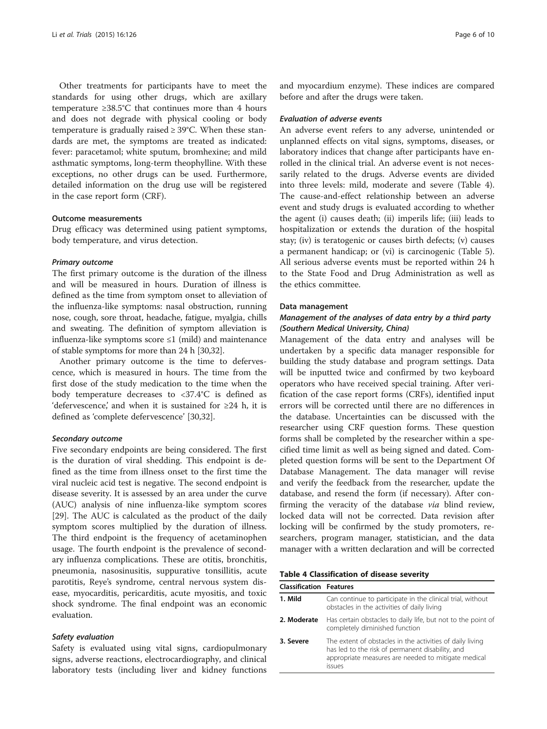Other treatments for participants have to meet the standards for using other drugs, which are axillary temperature ≥38.5°C that continues more than 4 hours and does not degrade with physical cooling or body temperature is gradually raised ≥ 39°C. When these standards are met, the symptoms are treated as indicated: fever: paracetamol; white sputum, bromhexine; and mild asthmatic symptoms, long-term theophylline. With these exceptions, no other drugs can be used. Furthermore, detailed information on the drug use will be registered in the case report form (CRF).

#### Outcome measurements

Drug efficacy was determined using patient symptoms, body temperature, and virus detection.

#### Primary outcome

The first primary outcome is the duration of the illness and will be measured in hours. Duration of illness is defined as the time from symptom onset to alleviation of the influenza-like symptoms: nasal obstruction, running nose, cough, sore throat, headache, fatigue, myalgia, chills and sweating. The definition of symptom alleviation is influenza-like symptoms score  $\leq 1$  (mild) and maintenance of stable symptoms for more than 24 h [\[30,](#page-8-0)[32](#page-9-0)].

Another primary outcome is the time to defervescence, which is measured in hours. The time from the first dose of the study medication to the time when the body temperature decreases to <37.4°C is defined as 'defervescence,' and when it is sustained for  $\geq 24$  h, it is defined as 'complete defervescence' [\[30](#page-8-0)[,32\]](#page-9-0).

# Secondary outcome

Five secondary endpoints are being considered. The first is the duration of viral shedding. This endpoint is defined as the time from illness onset to the first time the viral nucleic acid test is negative. The second endpoint is disease severity. It is assessed by an area under the curve (AUC) analysis of nine influenza-like symptom scores [[29\]](#page-8-0). The AUC is calculated as the product of the daily symptom scores multiplied by the duration of illness. The third endpoint is the frequency of acetaminophen usage. The fourth endpoint is the prevalence of secondary influenza complications. These are otitis, bronchitis, pneumonia, nasosinusitis, suppurative tonsillitis, acute parotitis, Reye's syndrome, central nervous system disease, myocarditis, pericarditis, acute myositis, and toxic shock syndrome. The final endpoint was an economic evaluation.

# Safety evaluation

Safety is evaluated using vital signs, cardiopulmonary signs, adverse reactions, electrocardiography, and clinical laboratory tests (including liver and kidney functions

and myocardium enzyme). These indices are compared before and after the drugs were taken.

#### Evaluation of adverse events

An adverse event refers to any adverse, unintended or unplanned effects on vital signs, symptoms, diseases, or laboratory indices that change after participants have enrolled in the clinical trial. An adverse event is not necessarily related to the drugs. Adverse events are divided into three levels: mild, moderate and severe (Table 4). The cause-and-effect relationship between an adverse event and study drugs is evaluated according to whether the agent (i) causes death; (ii) imperils life; (iii) leads to hospitalization or extends the duration of the hospital stay; (iv) is teratogenic or causes birth defects; (v) causes a permanent handicap; or (vi) is carcinogenic (Table [5](#page-6-0)). All serious adverse events must be reported within 24 h to the State Food and Drug Administration as well as the ethics committee.

#### Data management

# Management of the analyses of data entry by a third party (Southern Medical University, China)

Management of the data entry and analyses will be undertaken by a specific data manager responsible for building the study database and program settings. Data will be inputted twice and confirmed by two keyboard operators who have received special training. After verification of the case report forms (CRFs), identified input errors will be corrected until there are no differences in the database. Uncertainties can be discussed with the researcher using CRF question forms. These question forms shall be completed by the researcher within a specified time limit as well as being signed and dated. Completed question forms will be sent to the Department Of Database Management. The data manager will revise and verify the feedback from the researcher, update the database, and resend the form (if necessary). After confirming the veracity of the database via blind review, locked data will not be corrected. Data revision after locking will be confirmed by the study promoters, researchers, program manager, statistician, and the data manager with a written declaration and will be corrected

Table 4 Classification of disease severity

| <b>Classification Features</b> |                                                                                                                                                                                |
|--------------------------------|--------------------------------------------------------------------------------------------------------------------------------------------------------------------------------|
| 1. Mild                        | Can continue to participate in the clinical trial, without<br>obstacles in the activities of daily living                                                                      |
| 2. Moderate                    | Has certain obstacles to daily life, but not to the point of<br>completely diminished function                                                                                 |
| 3. Severe                      | The extent of obstacles in the activities of daily living<br>has led to the risk of permanent disability, and<br>appropriate measures are needed to mitigate medical<br>issues |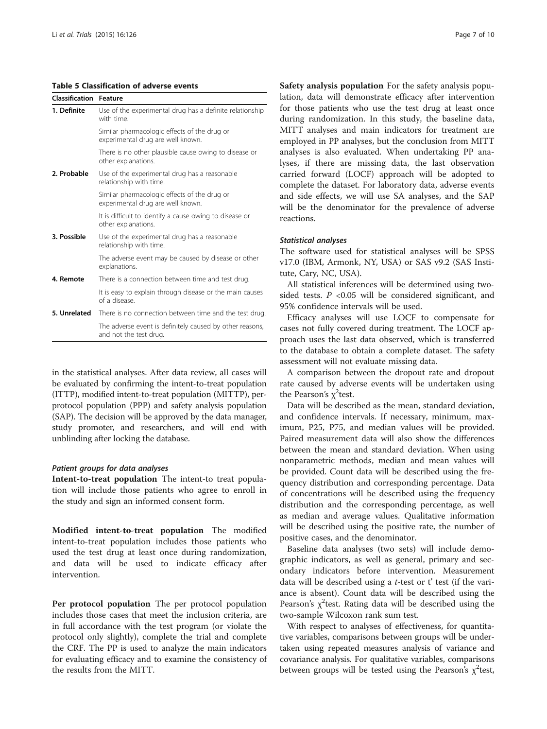#### <span id="page-6-0"></span>Table 5 Classification of adverse events

| <b>Classification Feature</b> |                                                                                    |
|-------------------------------|------------------------------------------------------------------------------------|
| 1. Definite                   | Use of the experimental drug has a definite relationship<br>with time.             |
|                               | Similar pharmacologic effects of the drug or<br>experimental drug are well known.  |
|                               | There is no other plausible cause owing to disease or<br>other explanations.       |
| 2. Probable                   | Use of the experimental drug has a reasonable<br>relationship with time.           |
|                               | Similar pharmacologic effects of the drug or<br>experimental drug are well known.  |
|                               | It is difficult to identify a cause owing to disease or<br>other explanations.     |
| 3. Possible                   | Use of the experimental drug has a reasonable<br>relationship with time.           |
|                               | The adverse event may be caused by disease or other<br>explanations.               |
| 4. Remote                     | There is a connection between time and test drug.                                  |
|                               | It is easy to explain through disease or the main causes<br>of a disease.          |
| 5. Unrelated                  | There is no connection between time and the test drug.                             |
|                               | The adverse event is definitely caused by other reasons,<br>and not the test drug. |

in the statistical analyses. After data review, all cases will be evaluated by confirming the intent-to-treat population (ITTP), modified intent-to-treat population (MITTP), perprotocol population (PPP) and safety analysis population (SAP). The decision will be approved by the data manager, study promoter, and researchers, and will end with unblinding after locking the database.

#### Patient groups for data analyses

Intent-to-treat population The intent-to treat population will include those patients who agree to enroll in the study and sign an informed consent form.

Modified intent-to-treat population The modified intent-to-treat population includes those patients who used the test drug at least once during randomization, and data will be used to indicate efficacy after intervention.

Per protocol population The per protocol population includes those cases that meet the inclusion criteria, are in full accordance with the test program (or violate the protocol only slightly), complete the trial and complete the CRF. The PP is used to analyze the main indicators for evaluating efficacy and to examine the consistency of the results from the MITT.

Safety analysis population For the safety analysis population, data will demonstrate efficacy after intervention for those patients who use the test drug at least once during randomization. In this study, the baseline data, MITT analyses and main indicators for treatment are employed in PP analyses, but the conclusion from MITT analyses is also evaluated. When undertaking PP analyses, if there are missing data, the last observation carried forward (LOCF) approach will be adopted to complete the dataset. For laboratory data, adverse events and side effects, we will use SA analyses, and the SAP will be the denominator for the prevalence of adverse reactions.

#### Statistical analyses

The software used for statistical analyses will be SPSS v17.0 (IBM, Armonk, NY, USA) or SAS v9.2 (SAS Institute, Cary, NC, USA).

All statistical inferences will be determined using twosided tests.  $P < 0.05$  will be considered significant, and 95% confidence intervals will be used.

Efficacy analyses will use LOCF to compensate for cases not fully covered during treatment. The LOCF approach uses the last data observed, which is transferred to the database to obtain a complete dataset. The safety assessment will not evaluate missing data.

A comparison between the dropout rate and dropout rate caused by adverse events will be undertaken using the Pearson's  $\chi^2$ test.

Data will be described as the mean, standard deviation, and confidence intervals. If necessary, minimum, maximum, P25, P75, and median values will be provided. Paired measurement data will also show the differences between the mean and standard deviation. When using nonparametric methods, median and mean values will be provided. Count data will be described using the frequency distribution and corresponding percentage. Data of concentrations will be described using the frequency distribution and the corresponding percentage, as well as median and average values. Qualitative information will be described using the positive rate, the number of positive cases, and the denominator.

Baseline data analyses (two sets) will include demographic indicators, as well as general, primary and secondary indicators before intervention. Measurement data will be described using a t-test or t' test (if the variance is absent). Count data will be described using the Pearson's  $\chi^2$ test. Rating data will be described using the two-sample Wilcoxon rank sum test.

With respect to analyses of effectiveness, for quantitative variables, comparisons between groups will be undertaken using repeated measures analysis of variance and covariance analysis. For qualitative variables, comparisons between groups will be tested using the Pearson's  $\chi^2$ test,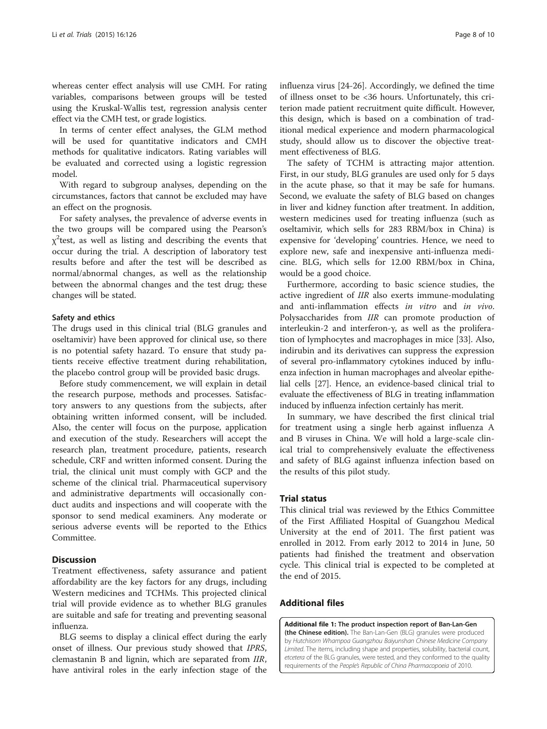<span id="page-7-0"></span>whereas center effect analysis will use CMH. For rating variables, comparisons between groups will be tested using the Kruskal-Wallis test, regression analysis center effect via the CMH test, or grade logistics.

In terms of center effect analyses, the GLM method will be used for quantitative indicators and CMH methods for qualitative indicators. Rating variables will be evaluated and corrected using a logistic regression model.

With regard to subgroup analyses, depending on the circumstances, factors that cannot be excluded may have an effect on the prognosis.

For safety analyses, the prevalence of adverse events in the two groups will be compared using the Pearson's  $\chi^2$ test, as well as listing and describing the events that occur during the trial. A description of laboratory test results before and after the test will be described as normal/abnormal changes, as well as the relationship between the abnormal changes and the test drug; these changes will be stated.

#### Safety and ethics

The drugs used in this clinical trial (BLG granules and oseltamivir) have been approved for clinical use, so there is no potential safety hazard. To ensure that study patients receive effective treatment during rehabilitation, the placebo control group will be provided basic drugs.

Before study commencement, we will explain in detail the research purpose, methods and processes. Satisfactory answers to any questions from the subjects, after obtaining written informed consent, will be included. Also, the center will focus on the purpose, application and execution of the study. Researchers will accept the research plan, treatment procedure, patients, research schedule, CRF and written informed consent. During the trial, the clinical unit must comply with GCP and the scheme of the clinical trial. Pharmaceutical supervisory and administrative departments will occasionally conduct audits and inspections and will cooperate with the sponsor to send medical examiners. Any moderate or serious adverse events will be reported to the Ethics Committee.

#### **Discussion**

Treatment effectiveness, safety assurance and patient affordability are the key factors for any drugs, including Western medicines and TCHMs. This projected clinical trial will provide evidence as to whether BLG granules are suitable and safe for treating and preventing seasonal influenza.

BLG seems to display a clinical effect during the early onset of illness. Our previous study showed that IPRS, clemastanin B and lignin, which are separated from IIR, have antiviral roles in the early infection stage of the influenza virus [[24-26](#page-8-0)]. Accordingly, we defined the time of illness onset to be <36 hours. Unfortunately, this criterion made patient recruitment quite difficult. However, this design, which is based on a combination of traditional medical experience and modern pharmacological study, should allow us to discover the objective treatment effectiveness of BLG.

The safety of TCHM is attracting major attention. First, in our study, BLG granules are used only for 5 days in the acute phase, so that it may be safe for humans. Second, we evaluate the safety of BLG based on changes in liver and kidney function after treatment. In addition, western medicines used for treating influenza (such as oseltamivir, which sells for 283 RBM/box in China) is expensive for 'developing' countries. Hence, we need to explore new, safe and inexpensive anti-influenza medicine. BLG, which sells for 12.00 RBM/box in China, would be a good choice.

Furthermore, according to basic science studies, the active ingredient of IIR also exerts immune-modulating and anti-inflammation effects in vitro and in vivo. Polysaccharides from IIR can promote production of interleukin-2 and interferon-γ, as well as the proliferation of lymphocytes and macrophages in mice [[33\]](#page-9-0). Also, indirubin and its derivatives can suppress the expression of several pro-inflammatory cytokines induced by influenza infection in human macrophages and alveolar epithelial cells [[27\]](#page-8-0). Hence, an evidence-based clinical trial to evaluate the effectiveness of BLG in treating inflammation induced by influenza infection certainly has merit.

In summary, we have described the first clinical trial for treatment using a single herb against influenza A and B viruses in China. We will hold a large-scale clinical trial to comprehensively evaluate the effectiveness and safety of BLG against influenza infection based on the results of this pilot study.

#### Trial status

This clinical trial was reviewed by the Ethics Committee of the First Affiliated Hospital of Guangzhou Medical University at the end of 2011. The first patient was enrolled in 2012. From early 2012 to 2014 in June, 50 patients had finished the treatment and observation cycle. This clinical trial is expected to be completed at the end of 2015.

# Additional files

[Additional file 1:](http://www.trialsjournal.com/content/supplementary/s13063-015-0645-x-s1.pdf) The product inspection report of Ban-Lan-Gen (the Chinese edition). The Ban-Lan-Gen (BLG) granules were produced by Hutchisom Whampoa Guangzhou Baiyunshan Chinese Medicine Company Limited. The items, including shape and properties, solubility, bacterial count, etcetera of the BLG granules, were tested, and they conformed to the quality requirements of the People's Republic of China Pharmacopoeia of 2010.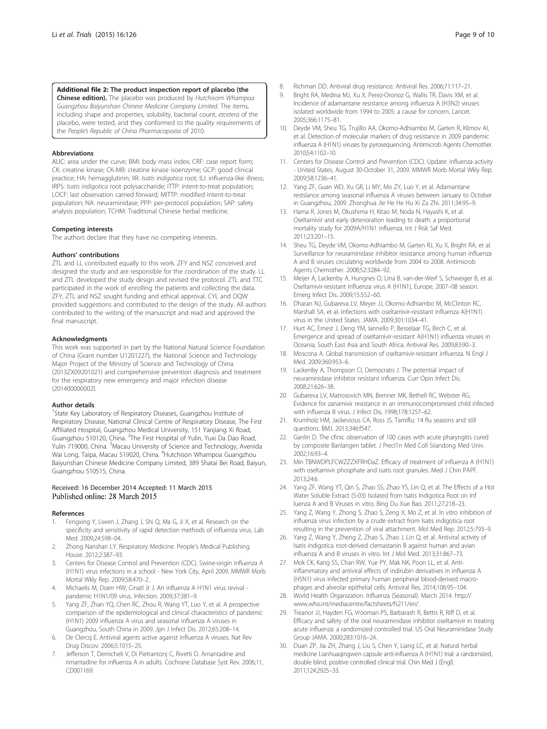<span id="page-8-0"></span>[Additional file 2:](http://www.trialsjournal.com/content/supplementary/s13063-015-0645-x-s2.pdf) The product inspection report of placebo (the Chinese edition). The placebo was produced by Hutchisom Whampoa Guangzhou Baiyunshan Chinese Medicine Company Limited. The items, including shape and properties, solubility, bacterial count, etcetera of the placebo, were tested, and they conformed to the quality requirements of the People's Republic of China Pharmacopoeia of 2010.

#### Abbreviations

AUC: area under the curve; BMI: body mass index; CRF: case report form; CK: creatine kinase; CK-MB: creatine kinase isoenzyme; GCP: good clinical practice; HA: hemagglutinin; IIR: Isatis indigotica root; ILI: influenza-like illness; IRPS: Isatis indigotica root polysaccharide; ITTP: intent-to-treat population; LOCF: last observation carried forward; MITTP: modified intent-to-treat population; NA: neuraminidase; PPP: per-protocol population; SAP: safety analysis population; TCHM: Traditional Chinese herbal medicine.

#### Competing interests

The authors declare that they have no competing interests.

#### Authors' contributions

ZTL and LL contributed equally to this work. ZFY and NSZ conceived and designed the study and are responsible for the coordination of the study. LL and ZTL developed the study design and revised the protocol. ZTL and TTC participated in the work of enrolling the patients and collecting the data. ZFY, ZTL and NSZ sought funding and ethical approval. CYL and DQW provided suggestions and contributed to the design of the study. All authors contributed to the writing of the manuscript and read and approved the final manuscript.

#### Acknowledgments

This work was supported in part by the National Natural Science Foundation of China (Grant number U1201227), the National Science and Technology Major Project of the Ministry of Science and Technology of China (2013ZX09201021) and comprehensive prevention diagnosis and treatment for the respiratory new emergency and major infection disease (201400000002).

#### Author details

<sup>1</sup>State Key Laboratory of Respiratory Diseases, Guangzhou Institute of Respiratory Disease, National Clinical Centre of Respiratory Disease, The First Affiliated Hospital, Guangzhou Medical University, 151 Yanjiang Xi Road, Guangzhou 510120, China. <sup>2</sup>The First Hospital of Yulin, Yuxi Da Dao Road, Yulin 719000, China. <sup>3</sup>Macau University of Science and Technology, Avenida Wai Long, Taipa, Macau 519020, China. <sup>4</sup>Hutchison Whampoa Guangzhou Baiyunshan Chinese Medicine Company Limited, 389 Shatai Bei Road, Baiyun, Guangzhou 510515, China.

# Received: 16 December 2014 Accepted: 11 March 2015<br>Published online: 28 March 2015

#### References

- 1. Fengxing Y, Liwen J, Zhang J, Shi Q, Ma G, Ji X, et al. Research on the specificity and sensitivity of rapid detection methods of influenza virus. Lab Med. 2009;24:598–04.
- 2. Zhong Nanshan LY. Respiratory Medicine. People's Medical Publishing House. 2012;2:387–93.
- 3. Centers for Disease Control and Prevention (CDC). Swine-origin influenza A (H1N1) virus infections in a school - New York City, April 2009. MMWR Morb Mortal Wkly Rep. 2009;58:470–2.
- 4. Michaelis M, Doerr HW, Cinatl Jr J. An influenza A H1N1 virus revival pandemic H1N1/09 virus. Infection. 2009;37:381–9.
- Yang ZF, Zhan YQ, Chen RC, Zhou R, Wang YT, Luo Y, et al. A prospective comparison of the epidemiological and clinical characteristics of pandemic (H1N1) 2009 influenza A virus and seasonal influenza A viruses in Guangzhou, South China in 2009. Jpn J Infect Dis. 2012;65:208–14.
- 6. De Clercq E. Antiviral agents active against influenza A viruses. Nat Rev Drug Discov. 2006;5:1015–25.
- 7. Jefferson T, Demicheli V, Di Pietrantonj C, Rivetti D. Amantadine and rimantadine for influenza A in adults. Cochrane Database Syst Rev. 2006;11, CD001169.
- 8. Richman DD. Antiviral drug resistance. Antiviral Res. 2006;71:117–21.
- 9. Bright RA, Medina MJ, Xu X, Perez-Oronoz G, Wallis TR, Davis XM, et al. Incidence of adamantane resistance among influenza A (H3N2) viruses isolated worldwide from 1994 to 2005: a cause for concern. Lancet. 2005;366:1175–81.
- 10. Deyde VM, Sheu TG, Trujillo AA, Okomo-Adhiambo M, Garten R, Klimov AI, et al. Detection of molecular markers of drug resistance in 2009 pandemic influenza A (H1N1) viruses by pyrosequencing. Antimicrob Agents Chemother. 2010;54:1102–10.
- 11. Centers for Disease Control and Prevention (CDC). Update: influenza activity - United States, August 30-October 31, 2009. MMWR Morb Mortal Wkly Rep. 2009;58:1236–41.
- 12. Yang ZF, Guan WD, Xu GR, Li MY, Mo ZY, Luo Y, et al. Adamantane restslance among seasonal influenza A viruses between January to October in Guangzhou, 2009. Zhonghua Jie He He Hu Xi Za Zhi. 2011;34:95–9.
- 13. Hama R, Jones M, Okushima H, Kitao M, Noda N, Hayashi K, et al. Oseltamivir and early deterioration leading to death: a proportional mortality study for 2009A/H1N1 influenza. Int J Risk Saf Med. 2011;23:201–15.
- 14. Sheu TG, Deyde VM, Okomo-Adhiambo M, Garten RJ, Xu X, Bright RA, et al. Surveillance for neuraminidase inhibitor resistance among human influenza A and B viruses circulating worldwide from 2004 to 2008. Antimicrob Agents Chemother. 2008;52:3284–92.
- 15. Meijer A, Lackenby A, Hungnes O, Lina B. van-der-Werf S, Schweiger B, et al. Oseltamivir-resistant influenza virus A (H1N1), Europe, 2007–08 season. Emerg Infect Dis. 2009;15:552–60.
- 16. Dharan NJ, Gubareva LV, Meyer JJ, Okomo-Adhiambo M, McClinton RC, Marshall SA, et al. Infections with oseltamivir-resistant influenza A(H1N1) virus in the United States. JAMA. 2009;301:1034–41.
- 17. Hurt AC, Ernest J, Deng YM, Iannello P, Besselaar TG, Birch C, et al. Emergence and spread of oseltamivir-resistant A(H1N1) influenza viruses in Oceania, South East Asia and South Africa. Antiviral Res. 2009;83:90–3.
- 18. Moscona A. Global transmission of oseltamivir-resistant influenza. N Engl J Med. 2009;360:953–6.
- 19. Lackenby A, Thompson CI, Democratis J. The potential impact of neuraminidase inhibitor resistant influenza. Curr Opin Infect Dis. 2008;21:626–38.
- 20. Gubareva LV, Matrosovich MN, Brenner MK, Bethell RC, Webster RG. Evidence for zanamivir resistance in an immunocompromised child infected with influenza B virus. J Infect Dis. 1998;178:1257–62.
- 21. Krumholz HM, Jackevicius CA, Ross JS. Tamiflu: 14 flu seasons and still questions. BMJ. 2013;346:f547.
- 22. Ganlin D. The cfinic observation of 100 cases with acute pharyngitis cured by composite Banlangen tablet. J Precl1n Med Coll Siiandong Med Univ. 2002;16:93–4.
- 23. Min TBNWDPLFCWZZZXFRHDaZ. Efficacy of treatment of influenza A (H1N1) with oseltamivir phosphate and isatis root granules. Med J Chin PAPF. 2013;24:6.
- 24. Yang ZF, Wang YT, Qin S, Zhao SS, Zhao YS, Lin Q, et al. The Effects of a Hot Water Soluble Extract (S-03) Isolated from Isatis Indigotica Root on Inf luenza A and B Viruses in vitro. Bing Du Xue Bao. 2011;27:218–23.
- 25. Yang Z, Wang Y, Zhong S, Zhao S, Zeng X, Mo Z, et al. In vitro inhibition of influenza virus infection by a crude extract from Isatis indigotica root resulting in the prevention of viral attachment. Mol Med Rep. 2012;5:793–9.
- 26. Yang Z, Wang Y, Zheng Z, Zhao S, Zhao J, Lin Q, et al. Antiviral activity of Isatis indigotica root-derived clemastanin B against human and avian influenza A and B viruses in vitro. Int J Mol Med. 2013;31:867–73.
- 27. Mok CK, Kang SS, Chan RW, Yue PY, Mak NK, Poon LL, et al. Antiinflammatory and antiviral effects of indirubin derivatives in influenza A (H5N1) virus infected primary human peripheral blood-derived macrophages and alveolar epithelial cells. Antiviral Res. 2014;106:95–104.
- 28. World Health Organization. Influenza (Seasonal). March 2014. [http://](http://www.who.int/mediacentre/factsheets/fs211/en/) [www.who.int/mediacentre/factsheets/fs211/en/.](http://www.who.int/mediacentre/factsheets/fs211/en/)
- 29. Treanor JJ, Hayden FG, Vrooman PS, Barbarash R, Bettis R, Riff D, et al. Efficacy and safety of the oral neuraminidase inhibitor oseltamivir in treating acute influenza: a randomized controlled trial. US Oral Neuraminidase Study Group JAMA. 2000;283:1016–24.
- 30. Duan ZP, Jia ZH, Zhang J, Liu S, Chen Y, Liang LC, et al. Natural herbal medicine Lianhuaqingwen capsule anti-influenza A (H1N1) trial: a randomized, double blind, positive controlled clinical trial. Chin Med J (Engl). 2011;124:2925–33.